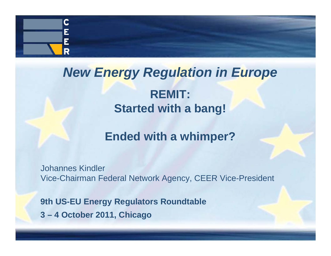

# *New Energy Regulation in Europe*

#### **REMIT: Started with <sup>a</sup> bang!**

#### **Ended with a whimper?**

Johannes Kindler Vice-Chairman Federal Network Agency, CEER Vice-President

**9th US-EU Energy Regulators Roundtable 3 – 4 October 2011, Chicago**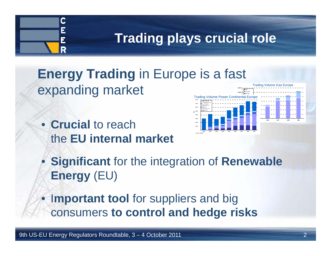### **Trading plays crucial role**

#### **Energy Trading** in Europe is a fast expanding market **12.00014.000**

• **Crucial** to reach the **EU internal market**

 $\mathbf C$ 

R



• **Significant** for the integration of **Renewable Energy** (EU)

•**Important tool** for suppliers and big **t t l dh d i k** consumers **to con trol an d h e dge ris s**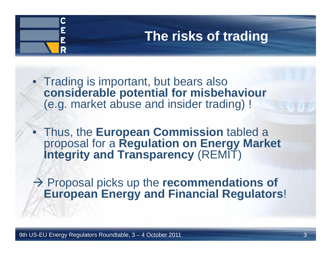### **The risks of trading**

• Trading is important, but bears also **considerable potential for misbehaviour** (e.g. market abuse and insider trading) !

• Thus, the **European Commission** tabled a proposal for <sup>a</sup> **Regulation on Energy Market Energy Integrity and Transparency** (REMIT)

 $\rightarrow$  Proposal picks up the **recommendations of European Energy and Financial Regulators**!

C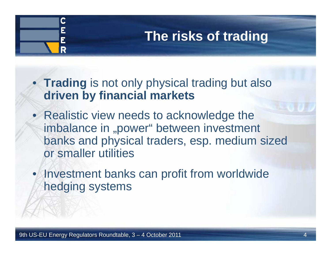### **The risks of trading**

• Trading is not only physical trading but also **driven by financial markets**

- Realistic view needs to acknowledge the imbalance in "power" between investment banks and physical traders, esp. medium sized or smaller utilities
- Investment banks can profit from worldwide hedging systems

 $\mathbf C$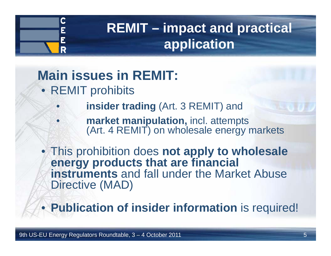

•

•

## **REMIT – impact and practical application**

## **Main issues in REMIT:**

- REMIT prohibits
	- **insider trading** (Art. 3 REMIT) and
		- **market manipulation,** incl. attempts (Art. 4 REMIT) on wholesale energy markets

• This prohibition does **not apply to wholesale energy products that are financial instruments** and fall under the Market Abuse Directive (MAD)

• **Publication of insider information** is required!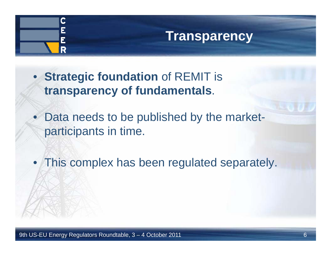

### **Transparency**

- **Strategic foundation** of REMIT is **transparency of fundamentals**.
- Data needs to be published by the marketparticipants in time.
- This complex has been regulated separately.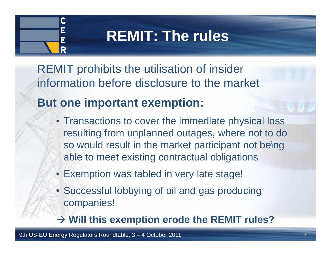# $\mathbf C$ R

# **REMIT: The rules**

REMIT prohibits the utilisation of insider information before disclosure to the market

### **But one important exemption:**

- Transactions to cover the immediate physical loss resulting from unplanned outages, where not to do so would result in the market participant not being able to meet existing contractual obligations
- Exemption was tabled in very late stage!
- Successful lobbying of oil and gas producing companies!

**Will this exemption erode the REMIT rules?**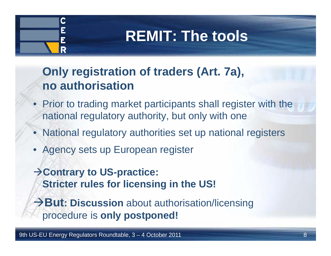## **REMIT: The tools**

#### **Only registration of traders (Art. 7a), no authorisation**

- Prior to trading market participants shall register with the national regulatory authority, but only with one
- National regulatory authorities set up national registers
- Agency sets up European registe r

 $\mathbf C$ 

R

 $\rightarrow$  Contrary to US-practice: **Stricter rules for licensing in the US!**

→ But: Discussion about authorisation/licensing procedure is **only postponed!**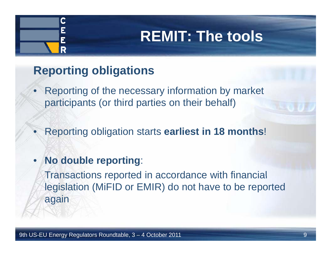## **REMIT: The tools**

#### **Reporting obligations**

 $\mathbf C$ 

- • Reporting of the necessary information by market participants (or third parties on their behalf)
- •Reporting obligation starts **earliest in 18 months**!
- • **No double reporting**:
	- Transactions reported in accordance with financial legislation (MiFID or EMIR) do not have to be reported again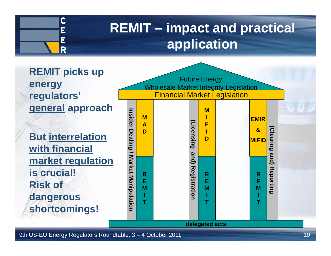

### **REMIT – impact and practical application**

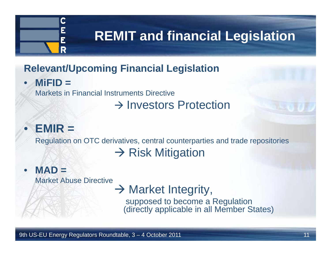

#### **Relevant/Upcoming Financial Legislation**

•**MiFID =** 

Markets in Financial Instruments Directive

#### $\rightarrow$  Investors Protection

### **EMIR =**

•

Regulation on OTC derivatives, central counterparties and trade repositories

### $\rightarrow$  Risk Mitigation

#### •**MAD =**

Market Abuse Directive

### $\rightarrow$  Market Integrity,

supposed to become a Regulation (directly applicable in all Member States)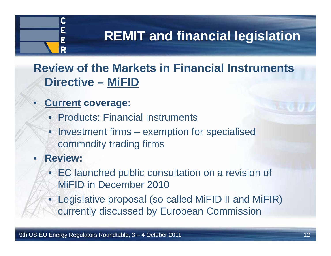

**Review of the Markets in Financial Instruments Di ti rec ve – MiFID**

- $\bullet$  **Current coverage:**
	- Products: Financial instruments
	- Investment firms exemption for specialised commodity trading firms
- • **Review:**
	- EC launched public consultation on a revision of MiFID in December 2010
	- Legislative proposal (so called MiFID II and MiFIR) currently discussed by European Commission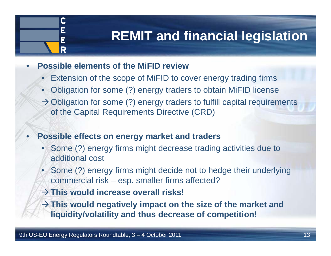•**Possible elements of the MiFID review**

 $\mathbf C$ 

R

- •**Extension of the scope of MiFID to cover energy trading firms**
- Obligation for some (?) energy traders to obtain MiFID license
- $\rightarrow$  Obligation for some (?) energy traders to fulfill capital requirements of the Capital Requirements Directive (CRD)
- **Possible effects on energy market and traders**
	- • Some (?) energy firms might decrease trading activities due to additional cost
	- Some (?) energy firms might decide not to hedge their underlying commercial risk –– esp. smaller firms affected?
	- **This would increase overall risks!**
	- $\rightarrow$  This would negatively impact on the size of the market and **liquidity/volatility and thus decrease of competition!**

•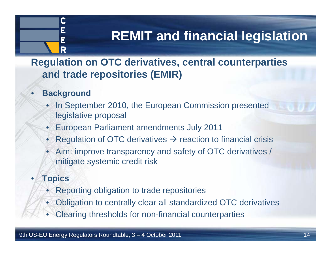

**Regulation on OTC derivatives, central counterparties and trade re p () ositories (EMIR )**

- • **Background**
	- In September 2010, the European Commission presented legislative proposal
	- •European Parliament amendments July 2011
	- •Regulation of OTC derivatives  $\rightarrow$  reaction to financial crisis
	- • Aim: improve transparency and safety of OTC derivatives / mitigate systemic credit risk

#### •**Topics**

- •Reporting obligation to trade repositories
- •Obligation to centrally clear all standardized OTC derivatives
- •Clearing thresholds for non-financial counterparties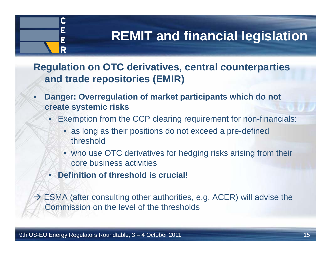

**Regulation on OTC derivatives, central counterparties and trade repositories (EMIR)**

- • **Danger: Overregulation of market participants which do not create systemic risks**
	- Exemption from the CCP clearing requirement for non-financials:
		- as long as their positions do not exceed a pre-defined threshold
		- who use OTC derivatives for hedging risks arising from their core business activities
	- **Definition of threshold is crucial!**

 $\rightarrow$  ESMA (after consulting other authorities, e.g. ACER) will advise the Commission on the level of the thresholds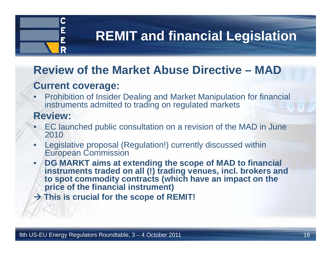# $\mathbf C$ R

### **REMIT and financial Legislation**

#### **Review of the Market Abuse Directive – MAD**

#### **Current coverage:**

• Prohibition of Insider Dealing and Market Manipulation for financial instruments admitted to trading on regulated markets

#### **Review:**

- • EC launched public consultation on a revision of the MAD in June 2010
- • Legislative proposal (Regulation!) currently discussed within European Commission
- • **DG MARKT aims at extending the scope of MAD to financial instruments traded on all (!) trading venues, incl. brokers and**  to spot commodity contracts (which have an impact on the **price of the financial instrument)**
- **This is crucial for the scope of REMIT!**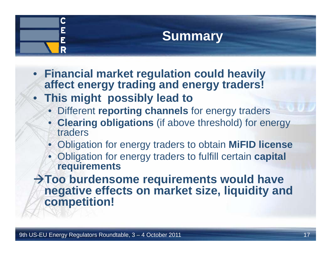## **Summary**

- **Financial market reg y ulation could heavily affect energy trading and energy traders!**
- **This might possibly lead to**

 $\mathbf C$ 

- Different **reporting channels** for energy traders
- **Clearing obligations** (if above threshold) for energy traders
- Obligation for energy traders to obtain **MiFID license**
- Obligation for energy traders to fulfill certain **capital requirements**
- $\rightarrow$  Too burdensome requirements would have **negative effects on market size, liquidity and competition!**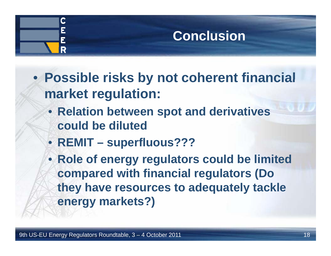### $\mathbf C$ **Conclusion**R

- **Possible risks by not coherent financial market regulation:**
	- **Relation between spot and derivatives spot could be diluted**
	- **REMIT – superfluous???**
	- **Role of energy regulators could be limited compared with financial regulators (Do (Do they have resources to adequately tackle energy markets?)**